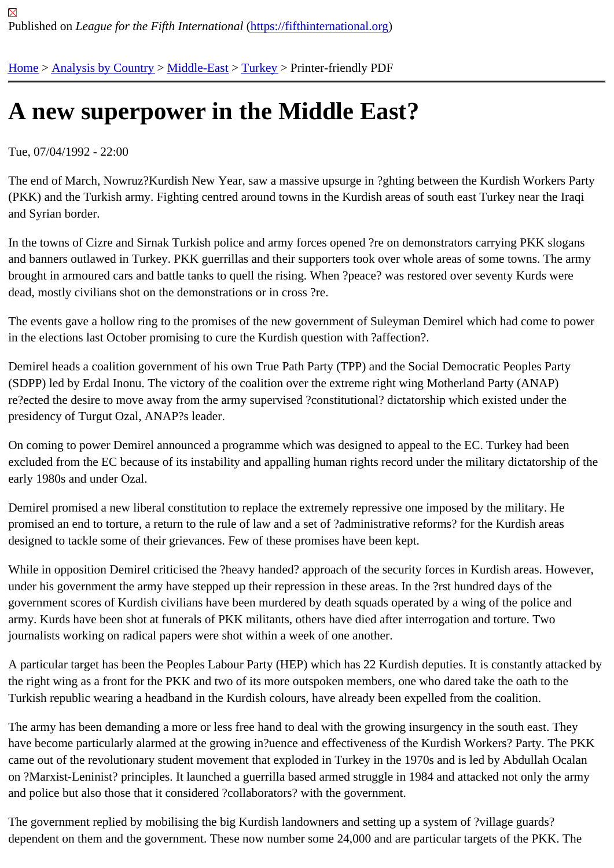## [A n](https://fifthinternational.org/)[ew superp](https://fifthinternational.org/category/1)[ower in](https://fifthinternational.org/category/1/178) [the](https://fifthinternational.org/category/1/178/174) Middle East?

Tue, 07/04/1992 - 22:00

The end of March, Nowruz?Kurdish New Year, saw a massive upsurge in ?ghting between the Kurdish Workers P (PKK) and the Turkish army. Fighting centred around towns in the Kurdish areas of south east Turkey near the Ira and Syrian border.

In the towns of Cizre and Sirnak Turkish police and army forces opened ?re on demonstrators carrying PKK sloga and banners outlawed in Turkey. PKK guerrillas and their supporters took over whole areas of some towns. The a brought in armoured cars and battle tanks to quell the rising. When ?peace? was restored over seventy Kurds wer dead, mostly civilians shot on the demonstrations or in cross ?re.

The events gave a hollow ring to the promises of the new government of Suleyman Demirel which had come to po in the elections last October promising to cure the Kurdish question with ?affection?.

Demirel heads a coalition government of his own True Path Party (TPP) and the Social Democratic Peoples Party (SDPP) led by Erdal Inonu. The victory of the coalition over the extreme right wing Motherland Party (ANAP) re?ected the desire to move away from the army supervised ?constitutional? dictatorship which existed under the presidency of Turgut Ozal, ANAP?s leader.

On coming to power Demirel announced a programme which was designed to appeal to the EC. Turkey had been excluded from the EC because of its instability and appalling human rights record under the military dictatorship of early 1980s and under Ozal.

Demirel promised a new liberal constitution to replace the extremely repressive one imposed by the military. He promised an end to torture, a return to the rule of law and a set of ?administrative reforms? for the Kurdish areas designed to tackle some of their grievances. Few of these promises have been kept.

While in opposition Demirel criticised the ?heavy handed? approach of the security forces in Kurdish areas. Hower under his government the army have stepped up their repression in these areas. In the ?rst hundred days of the government scores of Kurdish civilians have been murdered by death squads operated by a wing of the police and army. Kurds have been shot at funerals of PKK militants, others have died after interrogation and torture. Two journalists working on radical papers were shot within a week of one another.

A particular target has been the Peoples Labour Party (HEP) which has 22 Kurdish deputies. It is constantly attack the right wing as a front for the PKK and two of its more outspoken members, one who dared take the oath to the Turkish republic wearing a headband in the Kurdish colours, have already been expelled from the coalition.

The army has been demanding a more or less free hand to deal with the growing insurgency in the south east. The have become particularly alarmed at the growing in?uence and effectiveness of the Kurdish Workers? Party. The I came out of the revolutionary student movement that exploded in Turkey in the 1970s and is led by Abdullah Ocal on ?Marxist-Leninist? principles. It launched a guerrilla based armed struggle in 1984 and attacked not only the ar and police but also those that it considered ?collaborators? with the government.

The government replied by mobilising the big Kurdish landowners and setting up a system of ?village guards? dependent on them and the government. These now number some 24,000 and are particular targets of the PKK. The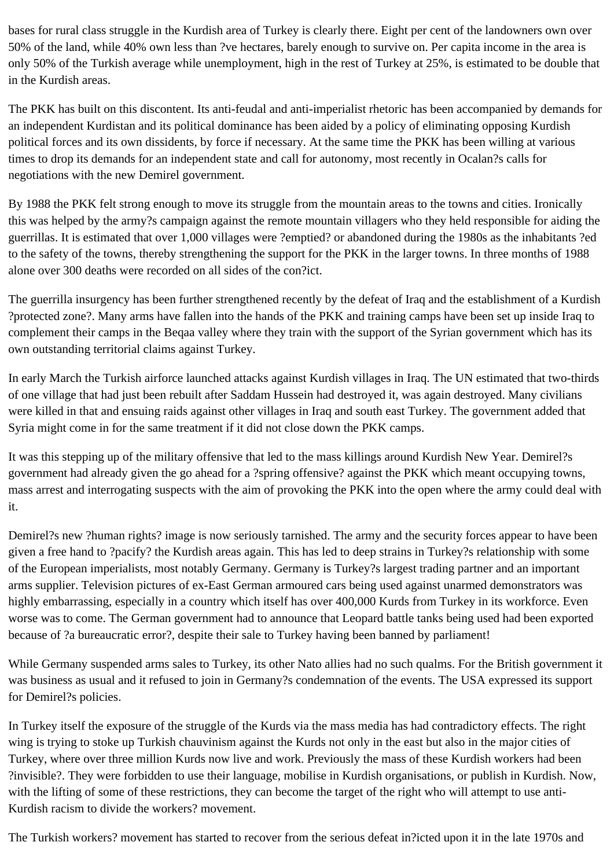bases for rural class struggle in the Kurdish area of Turkey is clearly there. Eight per cent of the landowners own over 50% of the land, while 40% own less than ?ve hectares, barely enough to survive on. Per capita income in the area is only 50% of the Turkish average while unemployment, high in the rest of Turkey at 25%, is estimated to be double that in the Kurdish areas.

The PKK has built on this discontent. Its anti-feudal and anti-imperialist rhetoric has been accompanied by demands for an independent Kurdistan and its political dominance has been aided by a policy of eliminating opposing Kurdish political forces and its own dissidents, by force if necessary. At the same time the PKK has been willing at various times to drop its demands for an independent state and call for autonomy, most recently in Ocalan?s calls for negotiations with the new Demirel government.

By 1988 the PKK felt strong enough to move its struggle from the mountain areas to the towns and cities. Ironically this was helped by the army?s campaign against the remote mountain villagers who they held responsible for aiding the guerrillas. It is estimated that over 1,000 villages were ?emptied? or abandoned during the 1980s as the inhabitants ?ed to the safety of the towns, thereby strengthening the support for the PKK in the larger towns. In three months of 1988 alone over 300 deaths were recorded on all sides of the con?ict.

The guerrilla insurgency has been further strengthened recently by the defeat of Iraq and the establishment of a Kurdish ?protected zone?. Many arms have fallen into the hands of the PKK and training camps have been set up inside Iraq to complement their camps in the Beqaa valley where they train with the support of the Syrian government which has its own outstanding territorial claims against Turkey.

In early March the Turkish airforce launched attacks against Kurdish villages in Iraq. The UN estimated that two-thirds of one village that had just been rebuilt after Saddam Hussein had destroyed it, was again destroyed. Many civilians were killed in that and ensuing raids against other villages in Iraq and south east Turkey. The government added that Syria might come in for the same treatment if it did not close down the PKK camps.

It was this stepping up of the military offensive that led to the mass killings around Kurdish New Year. Demirel?s government had already given the go ahead for a ?spring offensive? against the PKK which meant occupying towns, mass arrest and interrogating suspects with the aim of provoking the PKK into the open where the army could deal with it.

Demirel?s new ?human rights? image is now seriously tarnished. The army and the security forces appear to have been given a free hand to ?pacify? the Kurdish areas again. This has led to deep strains in Turkey?s relationship with some of the European imperialists, most notably Germany. Germany is Turkey?s largest trading partner and an important arms supplier. Television pictures of ex-East German armoured cars being used against unarmed demonstrators was highly embarrassing, especially in a country which itself has over 400,000 Kurds from Turkey in its workforce. Even worse was to come. The German government had to announce that Leopard battle tanks being used had been exported because of ?a bureaucratic error?, despite their sale to Turkey having been banned by parliament!

While Germany suspended arms sales to Turkey, its other Nato allies had no such qualms. For the British government it was business as usual and it refused to join in Germany?s condemnation of the events. The USA expressed its support for Demirel?s policies.

In Turkey itself the exposure of the struggle of the Kurds via the mass media has had contradictory effects. The right wing is trying to stoke up Turkish chauvinism against the Kurds not only in the east but also in the major cities of Turkey, where over three million Kurds now live and work. Previously the mass of these Kurdish workers had been ?invisible?. They were forbidden to use their language, mobilise in Kurdish organisations, or publish in Kurdish. Now, with the lifting of some of these restrictions, they can become the target of the right who will attempt to use anti-Kurdish racism to divide the workers? movement.

The Turkish workers? movement has started to recover from the serious defeat in?icted upon it in the late 1970s and